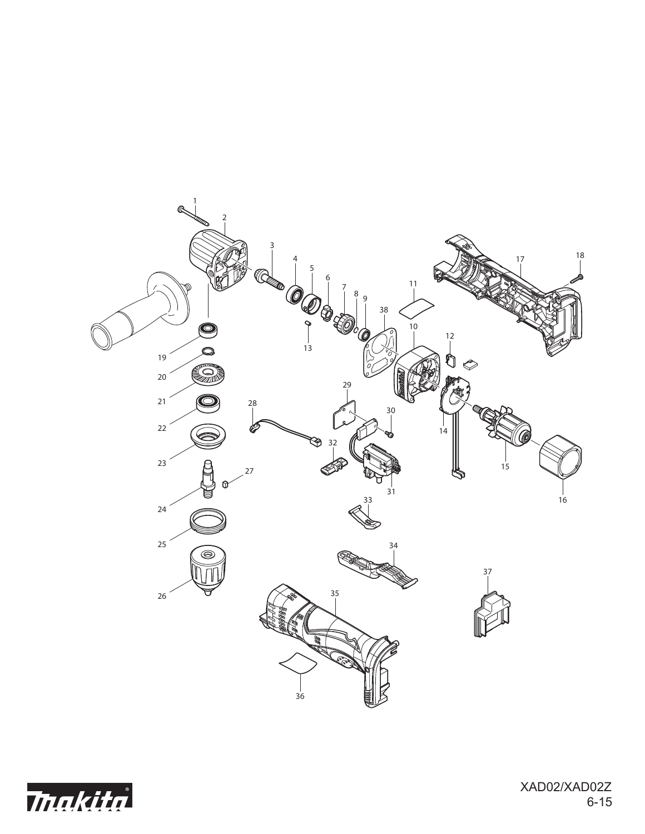